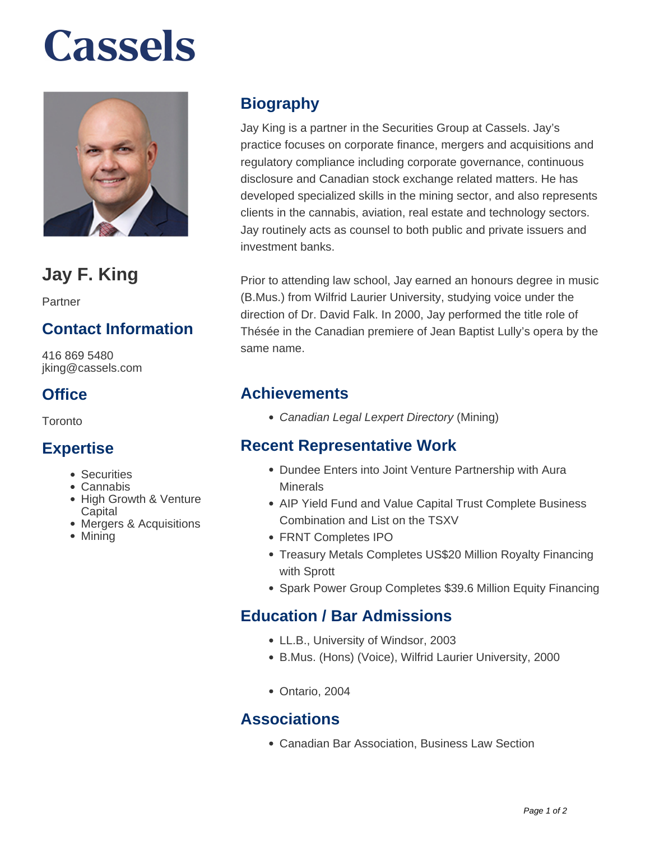# **Cassels**



# **Jay F. King**

Partner

# **Contact Information**

416 869 5480 jking@cassels.com

# **Office**

Toronto

# **Expertise**

- Securities
- Cannabis
- High Growth & Venture **Capital**
- Mergers & Acquisitions
- Mining

# **Biography**

Jay King is a partner in the Securities Group at Cassels. Jay's practice focuses on corporate finance, mergers and acquisitions and regulatory compliance including corporate governance, continuous disclosure and Canadian stock exchange related matters. He has developed specialized skills in the mining sector, and also represents clients in the cannabis, aviation, real estate and technology sectors. Jay routinely acts as counsel to both public and private issuers and investment banks.

Prior to attending law school, Jay earned an honours degree in music (B.Mus.) from Wilfrid Laurier University, studying voice under the direction of Dr. David Falk. In 2000, Jay performed the title role of Thésée in the Canadian premiere of Jean Baptist Lully's opera by the same name.

# **Achievements**

• Canadian Legal Lexpert Directory (Mining)

# **Recent Representative Work**

- Dundee Enters into Joint Venture Partnership with Aura **Minerals**
- AIP Yield Fund and Value Capital Trust Complete Business Combination and List on the TSXV
- FRNT Completes IPO
- Treasury Metals Completes US\$20 Million Royalty Financing with Sprott
- Spark Power Group Completes \$39.6 Million Equity Financing

# **Education / Bar Admissions**

- LL.B., University of Windsor, 2003
- B.Mus. (Hons) (Voice), Wilfrid Laurier University, 2000
- Ontario, 2004

# **Associations**

Canadian Bar Association, Business Law Section